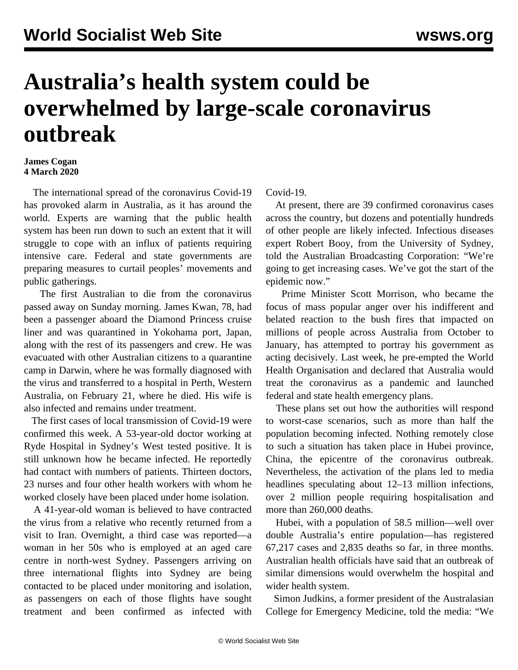## **Australia's health system could be overwhelmed by large-scale coronavirus outbreak**

## **James Cogan 4 March 2020**

 The international spread of the coronavirus Covid-19 has provoked alarm in Australia, as it has around the world. Experts are warning that the public health system has been run down to such an extent that it will struggle to cope with an influx of patients requiring intensive care. Federal and state governments are preparing measures to curtail peoples' movements and public gatherings.

 The first Australian to die from the coronavirus passed away on Sunday morning. James Kwan, 78, had been a passenger aboard the Diamond Princess cruise liner and was quarantined in Yokohama port, Japan, along with the rest of its passengers and crew. He was evacuated with other Australian citizens to a quarantine camp in Darwin, where he was formally diagnosed with the virus and transferred to a hospital in Perth, Western Australia, on February 21, where he died. His wife is also infected and remains under treatment.

 The first cases of local transmission of Covid-19 were confirmed this week. A 53-year-old doctor working at Ryde Hospital in Sydney's West tested positive. It is still unknown how he became infected. He reportedly had contact with numbers of patients. Thirteen doctors, 23 nurses and four other health workers with whom he worked closely have been placed under home isolation.

 A 41-year-old woman is believed to have contracted the virus from a relative who recently returned from a visit to Iran. Overnight, a third case was reported—a woman in her 50s who is employed at an aged care centre in north-west Sydney. Passengers arriving on three international flights into Sydney are being contacted to be placed under monitoring and isolation, as passengers on each of those flights have sought treatment and been confirmed as infected with

Covid-19.

 At present, there are 39 confirmed coronavirus cases across the country, but dozens and potentially hundreds of other people are likely infected. Infectious diseases expert Robert Booy, from the University of Sydney, told the Australian Broadcasting Corporation: "We're going to get increasing cases. We've got the start of the epidemic now."

 Prime Minister Scott Morrison, who became the focus of mass popular anger over his indifferent and belated reaction to the bush fires that impacted on millions of people across Australia from October to January, has attempted to portray his government as acting decisively. Last week, he pre-empted the World Health Organisation and declared that Australia would treat the coronavirus as a pandemic and launched federal and state health emergency plans.

 These plans set out how the authorities will respond to worst-case scenarios, such as more than half the population becoming infected. Nothing remotely close to such a situation has taken place in Hubei province, China, the epicentre of the coronavirus outbreak. Nevertheless, the activation of the plans led to media headlines speculating about 12–13 million infections, over 2 million people requiring hospitalisation and more than 260,000 deaths.

 Hubei, with a population of 58.5 million—well over double Australia's entire population—has registered 67,217 cases and 2,835 deaths so far, in three months. Australian health officials have said that an outbreak of similar dimensions would overwhelm the hospital and wider health system.

 Simon Judkins, a former president of the Australasian College for Emergency Medicine, told the media: "We